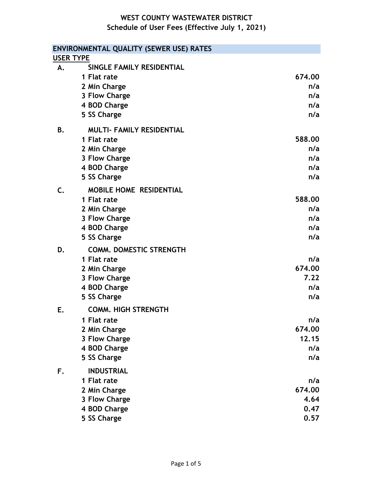|                | ENVIRONMENTAL QUALITY (SEWER USE) RATES |        |
|----------------|-----------------------------------------|--------|
|                | <b>USER TYPE</b>                        |        |
| <b>A.</b>      | SINGLE FAMILY RESIDENTIAL               |        |
|                | 1 Flat rate                             | 674.00 |
|                | 2 Min Charge                            | n/a    |
|                | 3 Flow Charge                           | n/a    |
|                | 4 BOD Charge                            | n/a    |
|                | 5 SS Charge                             | n/a    |
| Β.             | <b>MULTI- FAMILY RESIDENTIAL</b>        |        |
|                | 1 Flat rate                             | 588,00 |
|                | 2 Min Charge                            | n/a    |
|                | 3 Flow Charge                           | n/a    |
|                | 4 BOD Charge                            | n/a    |
|                | 5 SS Charge                             | n/a    |
| $\mathsf{C}$ . | <b>MOBILE HOME RESIDENTIAL</b>          |        |
|                | 1 Flat rate                             | 588.00 |
|                | 2 Min Charge                            | n/a    |
|                | 3 Flow Charge                           | n/a    |
|                | 4 BOD Charge                            | n/a    |
|                | 5 SS Charge                             | n/a    |
| D.             | <b>COMM. DOMESTIC STRENGTH</b>          |        |
|                | 1 Flat rate                             | n/a    |
|                | 2 Min Charge                            | 674.00 |
|                | 3 Flow Charge                           | 7.22   |
|                | 4 BOD Charge                            | n/a    |
|                | 5 SS Charge                             | n/a    |
| Е.             | <b>COMM. HIGH STRENGTH</b>              |        |
|                | 1 Flat rate                             | n/a    |
|                | 2 Min Charge                            | 674.00 |
|                | 3 Flow Charge                           | 12.15  |
|                | 4 BOD Charge                            | n/a    |
|                | 5 SS Charge                             | n/a    |
| F.             | <b>INDUSTRIAL</b>                       |        |
|                | 1 Flat rate                             | n/a    |
|                | 2 Min Charge                            | 674.00 |
|                | 3 Flow Charge                           | 4.64   |
|                | 4 BOD Charge                            | 0.47   |
|                | 5 SS Charge                             | 0.57   |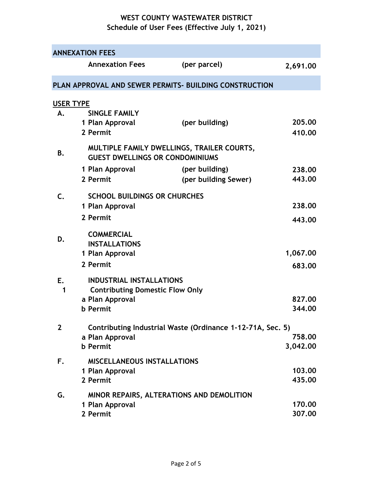|                  | <b>ANNEXATION FEES</b>                                                                       |                                                        |                    |  |
|------------------|----------------------------------------------------------------------------------------------|--------------------------------------------------------|--------------------|--|
|                  | <b>Annexation Fees</b>                                                                       | (per parcel)                                           | 2,691.00           |  |
|                  |                                                                                              | PLAN APPROVAL AND SEWER PERMITS- BUILDING CONSTRUCTION |                    |  |
| <b>USER TYPE</b> |                                                                                              |                                                        |                    |  |
| А.               | <b>SINGLE FAMILY</b><br>1 Plan Approval<br>2 Permit                                          | (per building)                                         | 205,00<br>410.00   |  |
| Β.               | MULTIPLE FAMILY DWELLINGS, TRAILER COURTS,<br><b>GUEST DWELLINGS OR CONDOMINIUMS</b>         |                                                        |                    |  |
|                  | 1 Plan Approval<br>2 Permit                                                                  | (per building)<br>(per building Sewer)                 | 238.00<br>443.00   |  |
| $\mathsf{C}$ .   | <b>SCHOOL BUILDINGS OR CHURCHES</b><br>1 Plan Approval                                       |                                                        | 238.00             |  |
|                  | 2 Permit                                                                                     |                                                        | 443.00             |  |
| D.               | <b>COMMERCIAL</b><br><b>INSTALLATIONS</b><br>1 Plan Approval                                 |                                                        | 1,067.00           |  |
|                  | 2 Permit                                                                                     |                                                        | 683.00             |  |
| E.<br>1          | <b>INDUSTRIAL INSTALLATIONS</b><br><b>Contributing Domestic Flow Only</b><br>a Plan Approval |                                                        | 827,00             |  |
|                  | <b>b</b> Permit                                                                              |                                                        | 344,00             |  |
| $\mathbf{2}$     | Contributing Industrial Waste (Ordinance 1-12-71A, Sec. 5)                                   |                                                        |                    |  |
|                  | a Plan Approval<br><b>b</b> Permit                                                           |                                                        | 758.00<br>3,042.00 |  |
| F.               | <b>MISCELLANEOUS INSTALLATIONS</b>                                                           |                                                        |                    |  |
|                  | 1 Plan Approval<br>2 Permit                                                                  |                                                        | 103.00<br>435.00   |  |
| G.               |                                                                                              | MINOR REPAIRS, ALTERATIONS AND DEMOLITION              |                    |  |
|                  | 1 Plan Approval<br>2 Permit                                                                  |                                                        | 170.00<br>307.00   |  |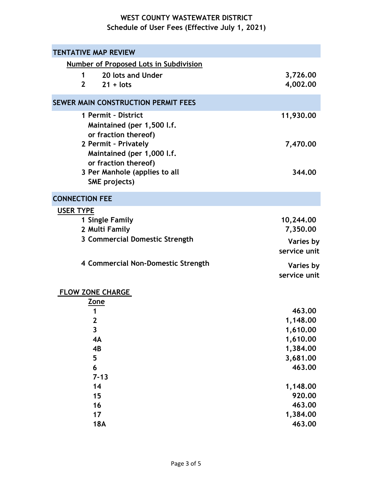| <b>TENTATIVE MAP REVIEW</b>                                                |                      |
|----------------------------------------------------------------------------|----------------------|
| <b>Number of Proposed Lots in Subdivision</b>                              |                      |
| 20 lots and Under<br>$\mathbf 1$                                           | 3,726.00             |
| $21 + lots$<br>$\mathbf{2}$                                                | 4,002.00             |
| SEWER MAIN CONSTRUCTION PERMIT FEES                                        |                      |
| 1 Permit - District                                                        |                      |
| Maintained (per 1,500 l.f.<br>or fraction thereof)                         | 11,930.00            |
| 2 Permit - Privately<br>Maintained (per 1,000 l.f.<br>or fraction thereof) | 7,470.00             |
| 3 Per Manhole (applies to all                                              | 344.00               |
| SME projects)                                                              |                      |
| <b>CONNECTION FEE</b>                                                      |                      |
| <b>USER TYPE</b>                                                           |                      |
| 1 Single Family                                                            | 10,244.00            |
| 2 Multi Family                                                             | 7,350.00             |
| 3 Commercial Domestic Strength                                             | Varies by            |
|                                                                            | service unit         |
| 4 Commercial Non-Domestic Strength                                         | Varies by            |
|                                                                            | service unit         |
| <b>FLOW ZONE CHARGE</b>                                                    |                      |
| Zone                                                                       |                      |
| 1                                                                          | 463.00               |
| $\mathbf{2}$<br>$\overline{\mathbf{3}}$                                    | 1,148.00             |
| 4A                                                                         | 1,610.00<br>1,610.00 |
| 4B                                                                         | 1,384.00             |
| 5                                                                          | 3,681.00             |
| 6                                                                          | 463.00               |
| $7 - 13$                                                                   |                      |
| 14                                                                         | 1,148.00             |
| 15                                                                         | 920.00               |
| 16                                                                         | 463.00               |
| 17                                                                         | 1,384.00             |
| <b>18A</b>                                                                 | 463.00               |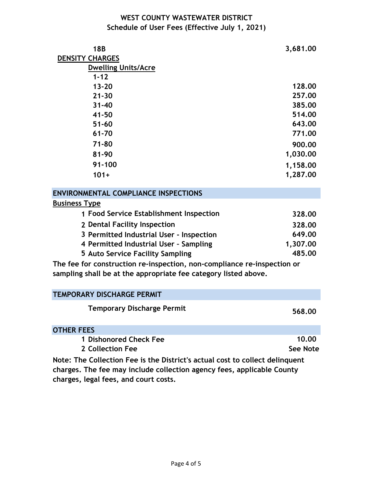| <b>18B</b>                                        | 3,681.00 |
|---------------------------------------------------|----------|
| <b>DENSITY CHARGES</b>                            |          |
| <b>Dwelling Units/Acre</b>                        |          |
| $1 - 12$                                          |          |
| $13 - 20$                                         | 128,00   |
| $21 - 30$                                         | 257.00   |
| $31 - 40$                                         | 385.00   |
| 41-50                                             | 514.00   |
| $51 - 60$                                         | 643.00   |
| 61-70                                             | 771.00   |
| $71 - 80$                                         | 900.00   |
| 81-90                                             | 1,030.00 |
| $91 - 100$                                        | 1,158.00 |
| $101+$                                            | 1,287.00 |
| <b>ENVIRONMENTAL COMPLIANCE INSPECTIONS</b>       |          |
| <b>Business Type</b>                              |          |
| <b>Food Service Establishment Inspection</b><br>1 | 328.00   |

| 1 Food Service Establishment Inspection  | 328.00   |
|------------------------------------------|----------|
| 2 Dental Facility Inspection             | 328.00   |
| 3 Permitted Industrial User - Inspection | 649.00   |
| 4 Permitted Industrial User - Sampling   | 1,307.00 |
| 5 Auto Service Facility Sampling         | 485.00   |

**The fee for construction re-inspection, non-compliance re-inspection or sampling shall be at the appropriate fee category listed above.** 

| <b>TEMPORARY DISCHARGE PERMIT</b>                                            |          |
|------------------------------------------------------------------------------|----------|
| <b>Temporary Discharge Permit</b>                                            | 568.00   |
| <b>OTHER FEES</b>                                                            |          |
| 1 Dishonored Check Fee                                                       | 10.00    |
| 2 Collection Fee                                                             | See Note |
| Note: The Collection Fee is the District's actual cost to collect delinguent |          |

**charges. The fee may include collection agency fees, applicable County charges, legal fees, and court costs.**